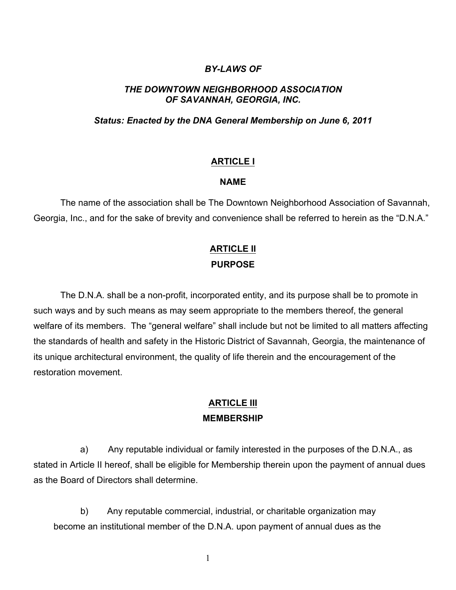## *BY-LAWS OF*

## *THE DOWNTOWN NEIGHBORHOOD ASSOCIATION OF SAVANNAH, GEORGIA, INC.*

## *Status: Enacted by the DNA General Membership on June 6, 2011*

## **ARTICLE I**

#### **NAME**

The name of the association shall be The Downtown Neighborhood Association of Savannah, Georgia, Inc., and for the sake of brevity and convenience shall be referred to herein as the "D.N.A."

# **ARTICLE II PURPOSE**

The D.N.A. shall be a non-profit, incorporated entity, and its purpose shall be to promote in such ways and by such means as may seem appropriate to the members thereof, the general welfare of its members. The "general welfare" shall include but not be limited to all matters affecting the standards of health and safety in the Historic District of Savannah, Georgia, the maintenance of its unique architectural environment, the quality of life therein and the encouragement of the restoration movement.

## **ARTICLE III MEMBERSHIP**

 a) Any reputable individual or family interested in the purposes of the D.N.A., as stated in Article II hereof, shall be eligible for Membership therein upon the payment of annual dues as the Board of Directors shall determine.

b) Any reputable commercial, industrial, or charitable organization may become an institutional member of the D.N.A. upon payment of annual dues as the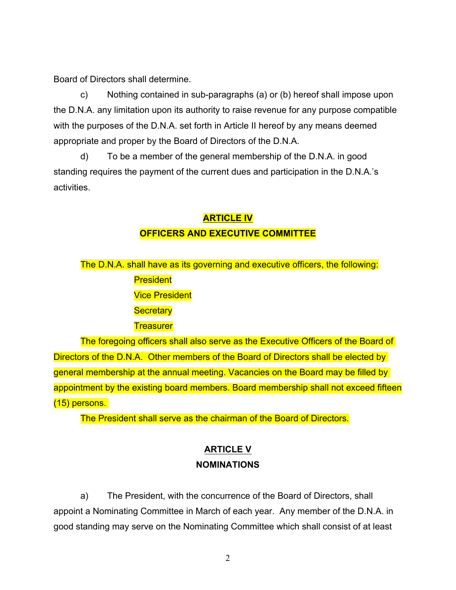Board of Directors shall determine.

c) Nothing contained in sub-paragraphs (a) or (b) hereof shall impose upon the D.N.A. any limitation upon its authority to raise revenue for any purpose compatible with the purposes of the D.N.A. set forth in Article II hereof by any means deemed appropriate and proper by the Board of Directors of the D.N.A.

d) To be a member of the general membership of the D.N.A. in good standing requires the payment of the current dues and participation in the D.N.A.'s activities.

# **ARTICLE IV OFFICERS AND EXECUTIVE COMMITTEE**

The D.N.A. shall have as its governing and executive officers, the following: **President** Vice President **Secretary Treasurer** 

The foregoing officers shall also serve as the Executive Officers of the Board of Directors of the D.N.A. Other members of the Board of Directors shall be elected by general membership at the annual meeting. Vacancies on the Board may be filled by appointment by the existing board members. Board membership shall not exceed fifteen (15) persons.

The President shall serve as the chairman of the Board of Directors.

# **ARTICLE V NOMINATIONS**

a) The President, with the concurrence of the Board of Directors, shall appoint a Nominating Committee in March of each year. Any member of the D.N.A. in good standing may serve on the Nominating Committee which shall consist of at least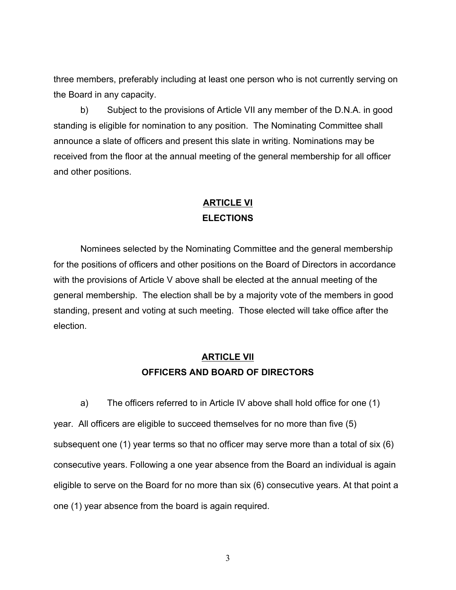three members, preferably including at least one person who is not currently serving on the Board in any capacity.

b) Subject to the provisions of Article VII any member of the D.N.A. in good standing is eligible for nomination to any position. The Nominating Committee shall announce a slate of officers and present this slate in writing. Nominations may be received from the floor at the annual meeting of the general membership for all officer and other positions.

## **ARTICLE VI ELECTIONS**

Nominees selected by the Nominating Committee and the general membership for the positions of officers and other positions on the Board of Directors in accordance with the provisions of Article V above shall be elected at the annual meeting of the general membership. The election shall be by a majority vote of the members in good standing, present and voting at such meeting. Those elected will take office after the election.

## **ARTICLE VII OFFICERS AND BOARD OF DIRECTORS**

a) The officers referred to in Article IV above shall hold office for one (1) year. All officers are eligible to succeed themselves for no more than five (5) subsequent one (1) year terms so that no officer may serve more than a total of six (6) consecutive years. Following a one year absence from the Board an individual is again eligible to serve on the Board for no more than six (6) consecutive years. At that point a one (1) year absence from the board is again required.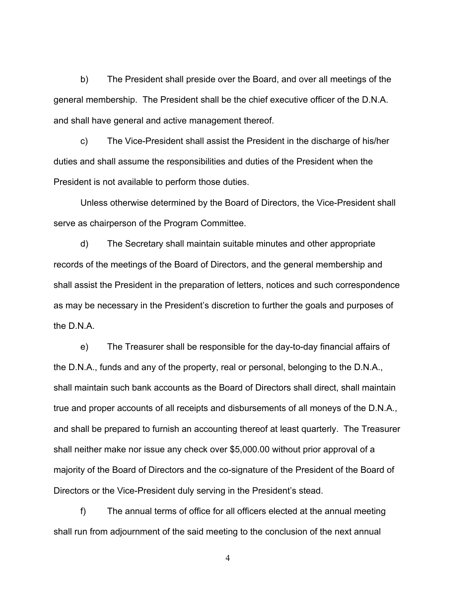b) The President shall preside over the Board, and over all meetings of the general membership. The President shall be the chief executive officer of the D.N.A. and shall have general and active management thereof.

c) The Vice-President shall assist the President in the discharge of his/her duties and shall assume the responsibilities and duties of the President when the President is not available to perform those duties.

Unless otherwise determined by the Board of Directors, the Vice-President shall serve as chairperson of the Program Committee.

d) The Secretary shall maintain suitable minutes and other appropriate records of the meetings of the Board of Directors, and the general membership and shall assist the President in the preparation of letters, notices and such correspondence as may be necessary in the President's discretion to further the goals and purposes of the D.N.A.

e) The Treasurer shall be responsible for the day-to-day financial affairs of the D.N.A., funds and any of the property, real or personal, belonging to the D.N.A., shall maintain such bank accounts as the Board of Directors shall direct, shall maintain true and proper accounts of all receipts and disbursements of all moneys of the D.N.A., and shall be prepared to furnish an accounting thereof at least quarterly. The Treasurer shall neither make nor issue any check over \$5,000.00 without prior approval of a majority of the Board of Directors and the co-signature of the President of the Board of Directors or the Vice-President duly serving in the President's stead.

f) The annual terms of office for all officers elected at the annual meeting shall run from adjournment of the said meeting to the conclusion of the next annual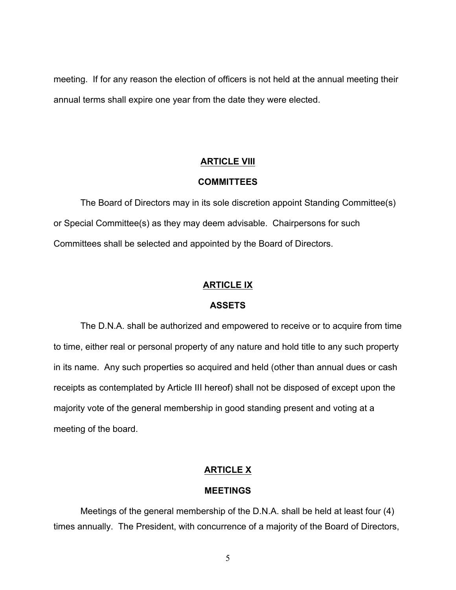meeting. If for any reason the election of officers is not held at the annual meeting their annual terms shall expire one year from the date they were elected.

## **ARTICLE VIII**

#### **COMMITTEES**

The Board of Directors may in its sole discretion appoint Standing Committee(s) or Special Committee(s) as they may deem advisable. Chairpersons for such Committees shall be selected and appointed by the Board of Directors.

#### **ARTICLE IX**

#### **ASSETS**

The D.N.A. shall be authorized and empowered to receive or to acquire from time to time, either real or personal property of any nature and hold title to any such property in its name. Any such properties so acquired and held (other than annual dues or cash receipts as contemplated by Article III hereof) shall not be disposed of except upon the majority vote of the general membership in good standing present and voting at a meeting of the board.

## **ARTICLE X**

#### **MEETINGS**

Meetings of the general membership of the D.N.A. shall be held at least four (4) times annually. The President, with concurrence of a majority of the Board of Directors,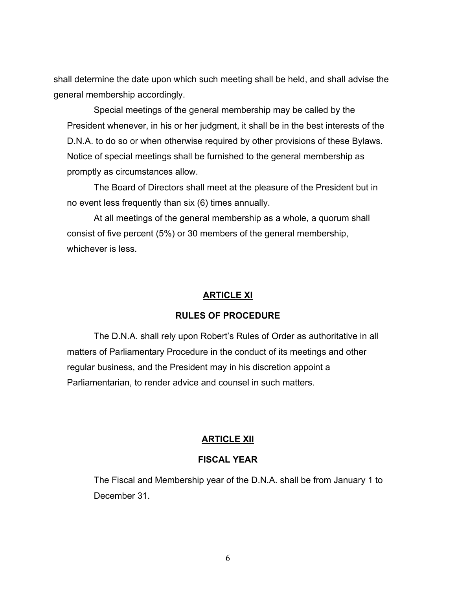shall determine the date upon which such meeting shall be held, and shall advise the general membership accordingly.

Special meetings of the general membership may be called by the President whenever, in his or her judgment, it shall be in the best interests of the D.N.A. to do so or when otherwise required by other provisions of these Bylaws. Notice of special meetings shall be furnished to the general membership as promptly as circumstances allow.

The Board of Directors shall meet at the pleasure of the President but in no event less frequently than six (6) times annually.

At all meetings of the general membership as a whole, a quorum shall consist of five percent (5%) or 30 members of the general membership, whichever is less.

## **ARTICLE XI**

## **RULES OF PROCEDURE**

The D.N.A. shall rely upon Robert's Rules of Order as authoritative in all matters of Parliamentary Procedure in the conduct of its meetings and other regular business, and the President may in his discretion appoint a Parliamentarian, to render advice and counsel in such matters.

## **ARTICLE XII**

## **FISCAL YEAR**

The Fiscal and Membership year of the D.N.A. shall be from January 1 to December 31.